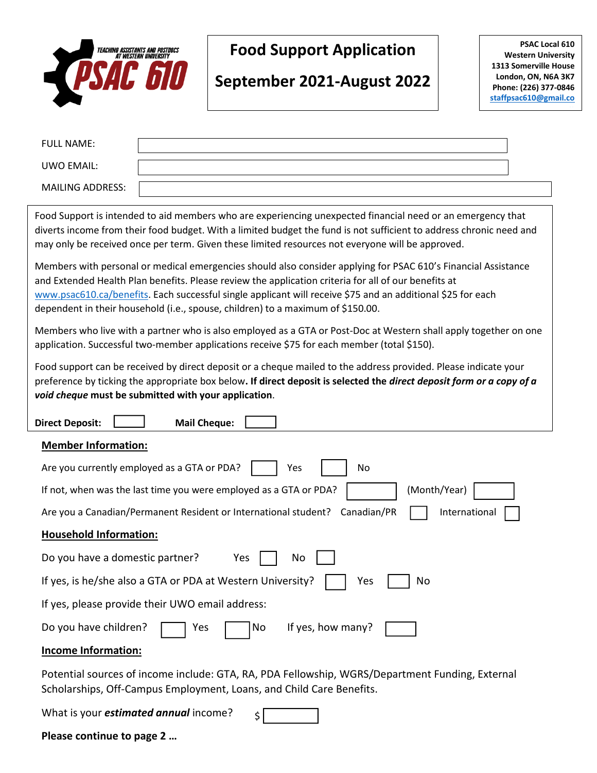

## **Food Support Application**

# **September 2021-August 2022**

**PSAC Local 610 Western University 1313 Somerville House London, ON, N6A 3K7 Phone: (226) 377-0846 [staffpsac610@gmail.co](mailto:staffpsac610@gmail.com)**

**[m](mailto:staffpsac610@gmail.com)**

| <b>FULL NAME:</b>                                                                                                                                                                                                                                                                                                                                                                                                        |
|--------------------------------------------------------------------------------------------------------------------------------------------------------------------------------------------------------------------------------------------------------------------------------------------------------------------------------------------------------------------------------------------------------------------------|
| <b>UWO EMAIL:</b>                                                                                                                                                                                                                                                                                                                                                                                                        |
| <b>MAILING ADDRESS:</b>                                                                                                                                                                                                                                                                                                                                                                                                  |
| Food Support is intended to aid members who are experiencing unexpected financial need or an emergency that<br>diverts income from their food budget. With a limited budget the fund is not sufficient to address chronic need and<br>may only be received once per term. Given these limited resources not everyone will be approved.                                                                                   |
| Members with personal or medical emergencies should also consider applying for PSAC 610's Financial Assistance<br>and Extended Health Plan benefits. Please review the application criteria for all of our benefits at<br>www.psac610.ca/benefits. Each successful single applicant will receive \$75 and an additional \$25 for each<br>dependent in their household (i.e., spouse, children) to a maximum of \$150.00. |
| Members who live with a partner who is also employed as a GTA or Post-Doc at Western shall apply together on one<br>application. Successful two-member applications receive \$75 for each member (total \$150).                                                                                                                                                                                                          |
| Food support can be received by direct deposit or a cheque mailed to the address provided. Please indicate your<br>preference by ticking the appropriate box below. If direct deposit is selected the <i>direct deposit form or a copy of a</i><br>void cheque must be submitted with your application.                                                                                                                  |
| <b>Direct Deposit:</b><br><b>Mail Cheque:</b>                                                                                                                                                                                                                                                                                                                                                                            |
| <b>Member Information:</b>                                                                                                                                                                                                                                                                                                                                                                                               |
| Are you currently employed as a GTA or PDA?<br>Yes<br>No                                                                                                                                                                                                                                                                                                                                                                 |
| If not, when was the last time you were employed as a GTA or PDA?<br>(Month/Year)                                                                                                                                                                                                                                                                                                                                        |
| Are you a Canadian/Permanent Resident or International student?<br>Canadian/PR<br>International                                                                                                                                                                                                                                                                                                                          |
| <b>Household Information:</b>                                                                                                                                                                                                                                                                                                                                                                                            |
| Do you have a domestic partner?<br>Yes<br>No                                                                                                                                                                                                                                                                                                                                                                             |
| If yes, is he/she also a GTA or PDA at Western University?<br>No<br>Yes                                                                                                                                                                                                                                                                                                                                                  |
| If yes, please provide their UWO email address:                                                                                                                                                                                                                                                                                                                                                                          |
| Do you have children?<br>If yes, how many?<br>No<br>Yes                                                                                                                                                                                                                                                                                                                                                                  |
| <b>Income Information:</b>                                                                                                                                                                                                                                                                                                                                                                                               |

Potential sources of income include: GTA, RA, PDA Fellowship, WGRS/Department Funding, External Scholarships, Off-Campus Employment, Loans, and Child Care Benefits.

What is your *estimated annual* income?  $\vert$ 

**Please continue to page 2 …**